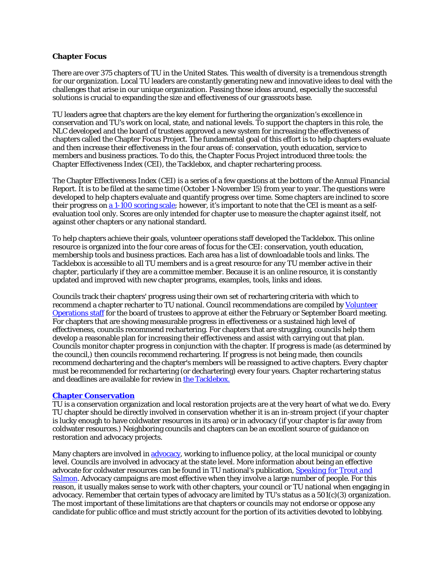## **Chapter Focus**

There are over 375 chapters of TU in the United States. This wealth of diversity is a tremendous strength for our organization. Local TU leaders are constantly generating new and innovative ideas to deal with the challenges that arise in our unique organization. Passing those ideas around, especially the successful solutions is crucial to expanding the size and effectiveness of our grassroots base.

TU leaders agree that chapters are the key element for furthering the organization's excellence in conservation and TU's work on local, state, and national levels. To support the chapters in this role, the NLC developed and the board of trustees approved a new system for increasing the effectiveness of chapters called the Chapter Focus Project. The fundamental goal of this effort is to help chapters evaluate and then increase their effectiveness in the four areas of: conservation, youth education, service to members and business practices. To do this, the Chapter Focus Project introduced three tools: the Chapter Effectiveness Index (CEI), the Tacklebox, and chapter rechartering process.

The Chapter Effectiveness Index (CEI) is a series of a few questions at the bottom of the Annual Financial Report. It is to be filed at the same time (October 1-November 15) from year to year. The questions were developed to help chapters evaluate and quantify progress over time. Some chapters are inclined to score their progress on [a 1-100 scoring scale;](http://www.tu.org/sites/www.tu.org/files/documents/tacklebox/chapter_effectiveness_index_instructions_for_scoring.pdf) however, it's important to note that the CEI is meant as a selfevaluation tool only. Scores are only intended for chapter use to measure the chapter against itself, not against other chapters or any national standard.

To help chapters achieve their goals, volunteer operations staff developed the Tacklebox. This online resource is organized into the four core areas of focus for the CEI: conservation, youth education, membership tools and business practices. Each area has a list of downloadable tools and links. The Tacklebox is accessible to all TU members and is a great resource for any TU member active in their chapter, particularly if they are a committee member. Because it is an online resource, it is constantly updated and improved with new chapter programs, examples, tools, links and ideas.

Councils track their chapters' progress using their own set of rechartering criteria with which to recommend a chapter recharter to TU national. Council recommendations are compiled by Volunteer [Operations staff](http://www.tu.org/about-us/tu-offices-contact-information/vol-ops--staff-directory) for the board of trustees to approve at either the February or September Board meeting. For chapters that are showing measurable progress in effectiveness or a sustained high level of effectiveness, councils recommend rechartering. For chapters that are struggling, councils help them develop a reasonable plan for increasing their effectiveness and assist with carrying out that plan. Councils monitor chapter progress in conjunction with the chapter. If progress is made (as determined by the council,) then councils recommend rechartering. If progress is not being made, then councils recommend dechartering and the chapter's members will be reassigned to active chapters. Every chapter must be recommended for rechartering (or dechartering) every four years. Chapter rechartering status and deadlines are available for review in [the Tacklebox.](http://www.tu.org/member-services/welcome-to-my-tu/tackle-box)

#### **[Chapter Conservation](http://www.tu.org/member-services/welcome-to-my-tu/tackle-box/conservation-resources/advocacy-documents)**

TU is a conservation organization and local restoration projects are at the very heart of what we do. Every TU chapter should be directly involved in conservation whether it is an in-stream project (if your chapter is lucky enough to have coldwater resources in its area) or in advocacy (if your chapter is far away from coldwater resources.) Neighboring councils and chapters can be an excellent source of guidance on restoration and advocacy projects.

Many chapters are involved in [advocacy,](http://www.tu.org/member-services/welcome-to-my-tu/tackle-box/conservation-resources/advocacy-documents) working to influence policy, at the local municipal or county level. Councils are involved in advocacy at the state level. More information about being an effective advocate for coldwater resources can be found in TU national's publication, *[Speaking for Trout and](http://www.tu.org/atf/cf/%7BED0023C4-EA23-4396-9371-8509DC5B4953%7D/Speaking_For_Trout_&_Salmon.pdf)  [Salmon](http://www.tu.org/atf/cf/%7BED0023C4-EA23-4396-9371-8509DC5B4953%7D/Speaking_For_Trout_&_Salmon.pdf)*. Advocacy campaigns are most effective when they involve a large number of people. For this reason, it usually makes sense to work with other chapters, your council or TU national when engaging in advocacy. Remember that certain types of advocacy are limited by TU's status as a 501(c)(3) organization. The most important of these limitations are that chapters or councils may not endorse or oppose any candidate for public office and must strictly account for the portion of its activities devoted to lobbying.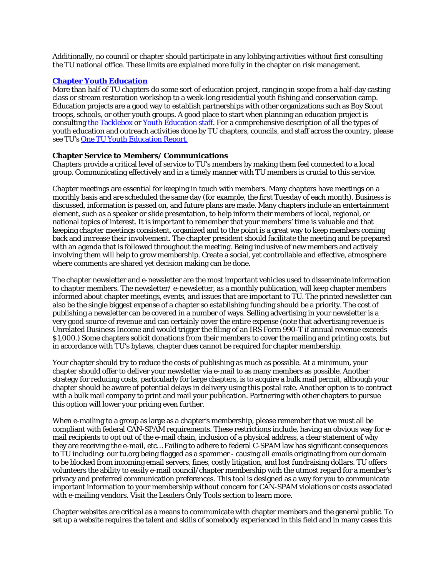Additionally, no council or chapter should participate in any lobbying activities without first consulting the TU national office. These limits are explained more fully in the chapter on risk management.

### **[Chapter Youth Education](http://www.tu.org/member-services/welcome-to-my-tu/tackle-box/youth-education-projects-and-programs)**

More than half of TU chapters do some sort of education project, ranging in scope from a half-day casting class or stream restoration workshop to a week-long residential youth fishing and conservation camp. Education projects are a good way to establish partnerships with other organizations such as Boy Scout troops, schools, or other youth groups. A good place to start when planning an education project is consultin[g the Tacklebox](http://www.tu.org/member-services/welcome-to-my-tu/tackle-box/youth-education-projects-and-programs) or [Youth Education staff.](http://www.tu.org/about-us/tu-offices-contact-information/youth-education-staff-directory) For a comprehensive description of all the types of youth education and outreach activities done by TU chapters, councils, and staff across the country, please see TU's [One TU Youth Education Report.](http://www.tu.org/sites/www.tu.org/files/documents/one_tu_youthreport_20110923.pdf)

#### **Chapter Service to Members/ Communications**

Chapters provide a critical level of service to TU's members by making them feel connected to a local group. Communicating effectively and in a timely manner with TU members is crucial to this service.

Chapter meetings are essential for keeping in touch with members. Many chapters have meetings on a monthly basis and are scheduled the same day (for example, the first Tuesday of each month). Business is discussed, information is passed on, and future plans are made. Many chapters include an entertainment element, such as a speaker or slide presentation, to help inform their members of local, regional, or national topics of interest. It is important to remember that your members' time is valuable and that keeping chapter meetings consistent, organized and to the point is a great way to keep members coming back and increase their involvement. The chapter president should facilitate the meeting and be prepared with an agenda that is followed throughout the meeting. Being inclusive of new members and actively involving them will help to grow membership. Create a social, yet controllable and effective, atmosphere where comments are shared yet decision making can be done.

The chapter newsletter and e-newsletter are the most important vehicles used to disseminate information to chapter members. The newsletter/ e-newsletter, as a monthly publication, will keep chapter members informed about chapter meetings, events, and issues that are important to TU. The printed newsletter can also be the single biggest expense of a chapter so establishing funding should be a priority. The cost of publishing a newsletter can be covered in a number of ways. Selling advertising in your newsletter is a very good source of revenue and can certainly cover the entire expense (note that advertising revenue is Unrelated Business Income and would trigger the filing of an IRS Form 990-T if annual revenue exceeds \$1,000.) Some chapters solicit donations from their members to cover the mailing and printing costs, but in accordance with TU's bylaws, chapter dues cannot be required for chapter membership.

Your chapter should try to reduce the costs of publishing as much as possible. At a minimum, your chapter should offer to deliver your newsletter via e-mail to as many members as possible. Another strategy for reducing costs, particularly for large chapters, is to acquire a bulk mail permit, although your chapter should be aware of potential delays in delivery using this postal rate. Another option is to contract with a bulk mail company to print and mail your publication. Partnering with other chapters to pursue this option will lower your pricing even further.

When e-mailing to a group as large as a chapter's membership, please remember that we must all be compliant with federal CAN-SPAM requirements. These restrictions include, having an obvious way for email recipients to opt out of the e-mail chain, inclusion of a physical address, a clear statement of why they are receiving the e-mail, etc… Failing to adhere to federal C-SPAM law has significant consequences to TU including: our tu.org being flagged as a spammer - causing all emails originating from our domain to be blocked from incoming email servers, fines, costly litigation, and lost fundraising dollars. TU offers volunteers the ability to easily e-mail council/chapter membership with the utmost regard for a member's privacy and preferred communication preferences. This tool is designed as a way for you to communicate important information to your membership without concern for CAN-SPAM violations or costs associated with e-mailing vendors. Visit the Leaders Only Tools section to learn more.

Chapter websites are critical as a means to communicate with chapter members and the general public. To set up a website requires the talent and skills of somebody experienced in this field and in many cases this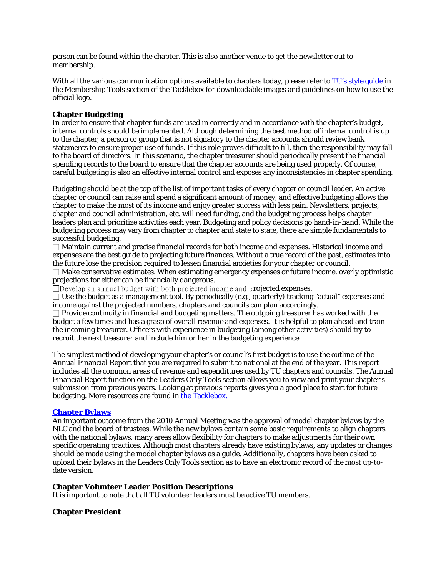person can be found within the chapter. This is also another venue to get the newsletter out to membership.

With all the various communication options available to chapters today, please refer to [TU's style guide](http://www.tu.org/member-services/welcome-to-my-tu/tackle-box/style-guide) in the Membership Tools section of the Tacklebox for downloadable images and guidelines on how to use the official logo.

## **Chapter Budgeting**

In order to ensure that chapter funds are used in correctly and in accordance with the chapter's budget, internal controls should be implemented. Although determining the best method of internal control is up to the chapter, a person or group that is not signatory to the chapter accounts should review bank statements to ensure proper use of funds. If this role proves difficult to fill, then the responsibility may fall to the board of directors. In this scenario, the chapter treasurer should periodically present the financial spending records to the board to ensure that the chapter accounts are being used properly. Of course, careful budgeting is also an effective internal control and exposes any inconsistencies in chapter spending.

Budgeting should be at the top of the list of important tasks of every chapter or council leader. An active chapter or council can raise and spend a significant amount of money, and effective budgeting allows the chapter to make the most of its income and enjoy greater success with less pain. Newsletters, projects, chapter and council administration, etc. will need funding, and the budgeting process helps chapter leaders plan and prioritize activities each year. Budgeting and policy decisions go hand-in-hand. While the budgeting process may vary from chapter to chapter and state to state, there are simple fundamentals to successful budgeting:

 Maintain current and precise financial records for both income and expenses. Historical income and expenses are the best guide to projecting future finances. Without a true record of the past, estimates into the future lose the precision required to lessen financial anxieties for your chapter or council.

 Make conservative estimates. When estimating emergency expenses or future income, overly optimistic projections for either can be financially dangerous.

 $\Box$ Develop an annual budget with both projected income and projected expenses.

 Use the budget as a management tool. By periodically (e.g., quarterly) tracking "actual" expenses and income against the projected numbers, chapters and councils can plan accordingly.

 $\Box$  Provide continuity in financial and budgeting matters. The outgoing treasurer has worked with the budget a few times and has a grasp of overall revenue and expenses. It is helpful to plan ahead and train the incoming treasurer. Officers with experience in budgeting (among other activities) should try to recruit the next treasurer and include him or her in the budgeting experience.

The simplest method of developing your chapter's or council's first budget is to use the outline of the Annual Financial Report that you are required to submit to national at the end of the year. This report includes all the common areas of revenue and expenditures used by TU chapters and councils. The Annual Financial Report function on the Leaders Only Tools section allows you to view and print your chapter's submission from previous years. Looking at previous reports gives you a good place to start for future budgeting. More resources are found in [the Tacklebox.](http://www.tu.org/member-services/welcome-to-my-tu/tackle-box/business-practices/afr-new-irs)

#### **[Chapter Bylaws](http://www.tu.org/member-services/welcome-to-my-tu/tackle-box/business-practices/model-chapter-council-bylaws)**

An important outcome from the 2010 Annual Meeting was the approval of model chapter bylaws by the NLC and the board of trustees. While the new bylaws contain some basic requirements to align chapters with the national bylaws, many areas allow flexibility for chapters to make adjustments for their own specific operating practices. Although most chapters already have existing bylaws, any updates or changes should be made using the model chapter bylaws as a guide. Additionally, chapters have been asked to upload their bylaws in the Leaders Only Tools section as to have an electronic record of the most up-todate version.

#### **Chapter Volunteer Leader Position Descriptions**

It is important to note that all TU volunteer leaders must be active TU members.

#### **Chapter President**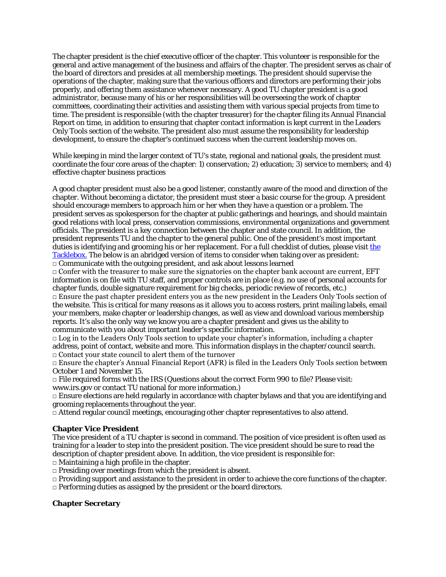The chapter president is the chief executive officer of the chapter. This volunteer is responsible for the general and active management of the business and affairs of the chapter. The president serves as chair of the board of directors and presides at all membership meetings. The president should supervise the operations of the chapter, making sure that the various officers and directors are performing their jobs properly, and offering them assistance whenever necessary. A good TU chapter president is a good administrator, because many of his or her responsibilities will be overseeing the work of chapter committees, coordinating their activities and assisting them with various special projects from time to time. The president is responsible (with the chapter treasurer) for the chapter filing its Annual Financial Report on time, in addition to ensuring that chapter contact information is kept current in the Leaders Only Tools section of the website. The president also must assume the responsibility for leadership development, to ensure the chapter's continued success when the current leadership moves on.

While keeping in mind the larger context of TU's state, regional and national goals, the president must coordinate the four core areas of the chapter: 1) conservation; 2) education; 3) service to members; and 4) effective chapter business practices

A good chapter president must also be a good listener, constantly aware of the mood and direction of the chapter. Without becoming a dictator, the president must steer a basic course for the group. A president should encourage members to approach him or her when they have a question or a problem. The president serves as spokesperson for the chapter at public gatherings and hearings, and should maintain good relations with local press, conservation commissions, environmental organizations and government officials. The president is a key connection between the chapter and state council. In addition, the president represents TU and the chapter to the general public. One of the president's most important duties is identifying and grooming his or her replacement. For a full checklist of duties, please visit the [Tacklebox.](http://www.tu.org/member-services/welcome-to-my-tu/tackle-box/business-practices/best-practices) The below is an abridged version of items to consider when taking over as president:  $\Box$  Communicate with the outgoing president, and ask about lessons learned

 $\Box$  Confer with the treasurer to make sure the signatories on the chapter bank account are current, EFT information is on file with TU staff, and proper controls are in place (e.g. no use of personal accounts for chapter funds, double signature requirement for big checks, periodic review of records, etc.)

 $\Box$  Ensure the past chapter president enters you as the new president in the Leaders Only Tools section of the website. This is critical for many reasons as it allows you to access rosters, print mailing labels, email your members, make chapter or leadership changes, as well as view and download various membership reports. It's also the only way we know you are a chapter president and gives us the ability to communicate with you about important leader's specific information.

 $\Box$  Log in to the Leaders Only Tools section to update your chapter's information, including a chapter address, point of contact, website and more. This information displays in the chapter/council search. □ Contact your state council to alert them of the turnover

 $\Box$  Ensure the chapter's Annual Financial Report (AFR) is filed in the Leaders Only Tools section between October 1 and November 15.

 $\Box$  File required forms with the IRS (Questions about the correct Form 990 to file? Please visit: www.irs.gov or contact TU national for more information.)

 $\Box$  Ensure elections are held regularly in accordance with chapter bylaws and that you are identifying and grooming replacements throughout the year.

 $\Box$  Attend regular council meetings, encouraging other chapter representatives to also attend.

# **Chapter Vice President**

The vice president of a TU chapter is second in command. The position of vice president is often used as training for a leader to step into the president position. The vice president should be sure to read the description of chapter president above. In addition, the vice president is responsible for:

 $\Box$  Maintaining a high profile in the chapter.

 $\Box$  Presiding over meetings from which the president is absent.

 $\Box$  Providing support and assistance to the president in order to achieve the core functions of the chapter.

□ Performing duties as assigned by the president or the board directors.

# **Chapter Secretary**